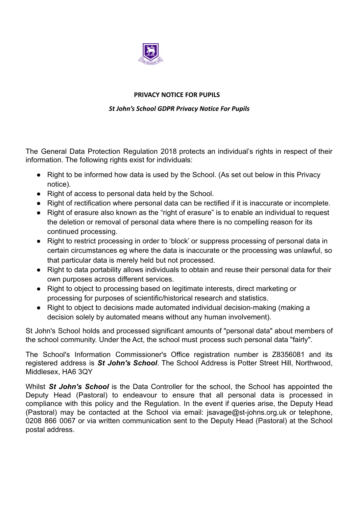

## **PRIVACY NOTICE FOR PUPILS**

## *St John's School GDPR Privacy Notice For Pupils*

The General Data Protection Regulation 2018 protects an individual's rights in respect of their information. The following rights exist for individuals:

- Right to be informed how data is used by the School. (As set out below in this Privacy notice).
- Right of access to personal data held by the School.
- Right of rectification where personal data can be rectified if it is inaccurate or incomplete.
- Right of erasure also known as the "right of erasure" is to enable an individual to request the deletion or removal of personal data where there is no compelling reason for its continued processing.
- Right to restrict processing in order to 'block' or suppress processing of personal data in certain circumstances eg where the data is inaccurate or the processing was unlawful, so that particular data is merely held but not processed.
- Right to data portability allows individuals to obtain and reuse their personal data for their own purposes across different services.
- Right to object to processing based on legitimate interests, direct marketing or processing for purposes of scientific/historical research and statistics.
- Right to object to decisions made automated individual decision-making (making a decision solely by automated means without any human involvement).

St John's School holds and processed significant amounts of "personal data" about members of the school community. Under the Act, the school must process such personal data "fairly".

The School's Information Commissioner's Office registration number is Z8356081 and its registered address is *St John's School*. The School Address is Potter Street Hill, Northwood, Middlesex, HA6 3QY

Whilst *St John's School* is the Data Controller for the school, the School has appointed the Deputy Head (Pastoral) to endeavour to ensure that all personal data is processed in compliance with this policy and the Regulation. In the event if queries arise, the Deputy Head (Pastoral) may be contacted at the School via email: jsavage@st-johns.org.uk or telephone, 0208 866 0067 or via written communication sent to the Deputy Head (Pastoral) at the School postal address.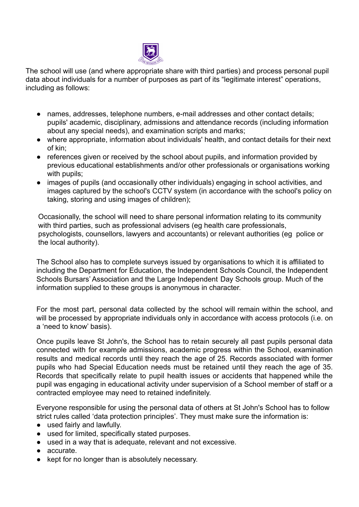

The school will use (and where appropriate share with third parties) and process personal pupil data about individuals for a number of purposes as part of its "legitimate interest" operations, including as follows:

- names, addresses, telephone numbers, e-mail addresses and other contact details; pupils' academic, disciplinary, admissions and attendance records (including information about any special needs), and examination scripts and marks;
- where appropriate, information about individuals' health, and contact details for their next of kin;
- references given or received by the school about pupils, and information provided by previous educational establishments and/or other professionals or organisations working with pupils;
- images of pupils (and occasionally other individuals) engaging in school activities, and images captured by the school's CCTV system (in accordance with the school's policy on taking, storing and using images of children);

Occasionally, the school will need to share personal information relating to its community with third parties, such as professional advisers (eg health care professionals, psychologists, counsellors, lawyers and accountants) or relevant authorities (eg police or the local authority).

The School also has to complete surveys issued by organisations to which it is affiliated to including the Department for Education, the Independent Schools Council, the Independent Schools Bursars' Association and the Large Independent Day Schools group. Much of the information supplied to these groups is anonymous in character.

For the most part, personal data collected by the school will remain within the school, and will be processed by appropriate individuals only in accordance with access protocols (i.e. on a 'need to know' basis).

Once pupils leave St John's, the School has to retain securely all past pupils personal data connected with for example admissions, academic progress within the School, examination results and medical records until they reach the age of 25. Records associated with former pupils who had Special Education needs must be retained until they reach the age of 35. Records that specifically relate to pupil health issues or accidents that happened while the pupil was engaging in educational activity under supervision of a School member of staff or a contracted employee may need to retained indefinitely.

Everyone responsible for using the personal data of others at St John's School has to follow strict rules called 'data protection principles'. They must make sure the information is:

- used fairly and lawfully.
- used for limited, specifically stated purposes.
- used in a way that is adequate, relevant and not excessive.
- accurate.
- kept for no longer than is absolutely necessary.